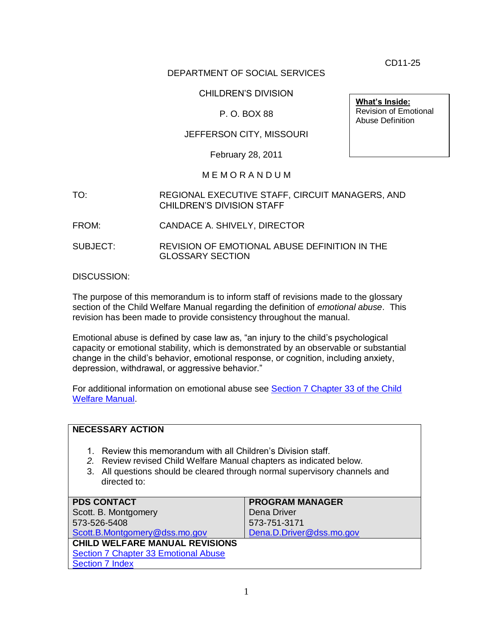CD11-25

#### DEPARTMENT OF SOCIAL SERVICES

#### CHILDREN'S DIVISION

#### P. O. BOX 88

#### JEFFERSON CITY, MISSOURI

February 28, 2011

#### M E M O R A N D U M

- TO: REGIONAL EXECUTIVE STAFF, CIRCUIT MANAGERS, AND CHILDREN'S DIVISION STAFF
- FROM: CANDACE A. SHIVELY, DIRECTOR
- SUBJECT: REVISION OF EMOTIONAL ABUSE DEFINITION IN THE GLOSSARY SECTION

DISCUSSION:

The purpose of this memorandum is to inform staff of revisions made to the glossary section of the Child Welfare Manual regarding the definition of *emotional abuse*. This revision has been made to provide consistency throughout the manual.

Emotional abuse is defined by case law as, "an injury to the child's psychological capacity or emotional stability, which is demonstrated by an observable or substantial change in the child's behavior, emotional response, or cognition, including anxiety, depression, withdrawal, or aggressive behavior."

For additional information on emotional abuse see [Section 7 Chapter 33 of the Child](http://www.dss.mo.gov/cd/info/cwmanual/section7/ch1_33/sec7ch33.htm)  [Welfare Manual.](http://www.dss.mo.gov/cd/info/cwmanual/section7/ch1_33/sec7ch33.htm)

| <b>NECESSARY ACTION</b>                                                                                                                                                                                                         |                          |
|---------------------------------------------------------------------------------------------------------------------------------------------------------------------------------------------------------------------------------|--------------------------|
| Review this memorandum with all Children's Division staff.<br>2. Review revised Child Welfare Manual chapters as indicated below.<br>3. All questions should be cleared through normal supervisory channels and<br>directed to: |                          |
| <b>PDS CONTACT</b>                                                                                                                                                                                                              | <b>PROGRAM MANAGER</b>   |
| Scott. B. Montgomery                                                                                                                                                                                                            | Dena Driver              |
| 573-526-5408                                                                                                                                                                                                                    | 573-751-3171             |
| Scott.B.Montgomery@dss.mo.gov                                                                                                                                                                                                   | Dena.D.Driver@dss.mo.gov |
| <b>CHILD WELFARE MANUAL REVISIONS</b>                                                                                                                                                                                           |                          |
| Section 7 Chapter 33 Emotional Abuse                                                                                                                                                                                            |                          |
| <b>Section 7 Index</b>                                                                                                                                                                                                          |                          |

**What's Inside:** Revision of Emotional Abuse Definition